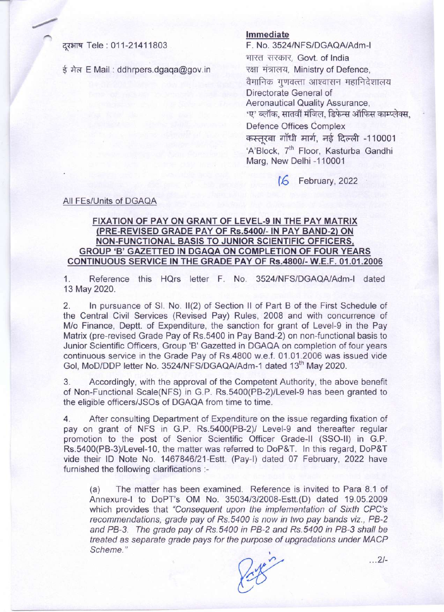दरभाष Tele: 011-21411803

ई मेल E Mail: ddhrpers.dgaga@gov.in

## **Immediate**

F. No. 3524/NFS/DGAQAlAdm-1 भारत सरकार, Govt. of India रक्षा मंत्रालय, Ministry of Defence, वैमानिक गणवत्ता आश्वासन महानिदेशालय Directorate General of Aeronautical Quality Assurance, *'*ए' ब्लॉक, सातवीं मंजिल, डिफेन्स ऑफिस काम्प्लेक्स, Defence Offices Complex कस्तूरबा गाँधी मार्ग, नई दिल्ली -110001 ared short, and accent to root<br>'A'Block, 7<sup>th</sup> Floor, Kasturba Gandh Marg, New Delhi -110001

**16** February, 2022

## All FEs/Units of DGAQA

## **FIXATION OF PAY ON GRANT OF LEVEL-giN THE PAY MATRIX (PRE-REVISED GRADE PAY OF** *Rs.54001-* **IN PAY BAND-2) ON NON-FUNCTIONAL BASIS TO JUNIOR SCIENTIFIC OFFICERS, GROUP** 'B' **GAZETTED IN DGAQA ON COMPLETION OF FOUR YEARS CONTINUOUS SERVICE IN THE GRADE PAY OF** *Rs.48001-* **W.E.F. 01.01.2006**

1. Reference this HQrs letter F. No. 3524/NFS/DGAQAlAdm-1 dated 13 May 2020.

2. In pursuance of SI. No. II(2) of Section II of Part B of the First Schedule of the Central Civil Services (Revised Pay) Rules, 2008 and with concurrence of *M/o* Finance, Deptt. of Expenditure, the sanction for grant of Level-9 in the Pay Matrix (pre-revised Grade Pay of Rs.5400 in Pay Band-2) on non-functional basis to Junior Scientific Officers, Group 'B' Gazetted in DGAQA on completion of four years continuous service in the Grade Pay of Rs.4800 w.e.f. 01.01.2006 was issued vide Gol, MoD/DDP letter No. 3524/NFS/DGAQA/Adm-1 dated 13<sup>th</sup> May 2020.

3. Accordingly, with the approval of the Competent Authority, the above benefit of Non-Functional Scale(NFS) in G.P. Rs.5400(PB-2)/Level-9 has been granted to the eligible officers/JSOs of DGAQA from time to time.

4. After consulting Department of Expenditure on the issue regarding fixation of pay on grant of NFS in G.P. Rs.5400(PB-2)/ Level-9 and thereafter regular promotion to the post of Senior Scientific Officer Grade-II (SSO-II) in G.P. Rs.5400(PB-3)/Level-10, the matter was referred to DoP&T. In this regard, DoP&T vide their 10 Note No. 1467846/21-Estt. (Pay-I) dated 07 February, 2022 have furnished the following clarifications :-

(a) The matter has been examined. Reference is invited to Para 8.1 of Annexure-I to DoPT's OM No. *35034/3/2008-Estt.(D)* dated 19.05.2009 which provides that *"Consequent upon the implementation* of *Sixth CPC's recommendations, grade pay* of *Rs.5400 is now in two pay bands viz., PB-2 and PB-3. The grade pay* of *Rs.5400 in PB-2 and Rs.5400 in PB-3 shall be treated* as *separate grade pays for the purpose* of *upgradations under MACP* Scheme."

24? *... 2/-*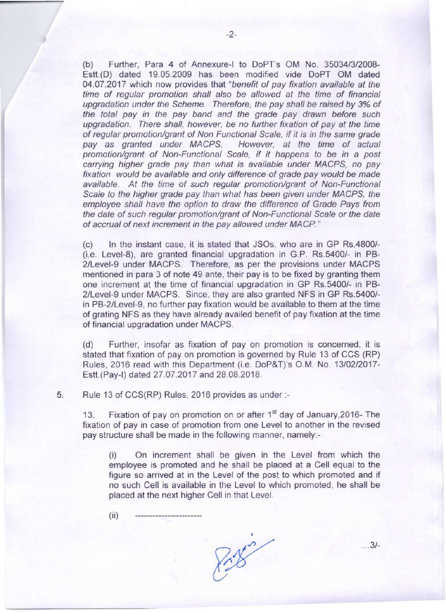(b) Further, Para 4 of Annexure-I to DoPT's OM No. 35034/3/2008- Estt.(D) dated 19.05.2009 has been modified vide DoPT OM dated 04.07.2017 which now provides that *"benefit* of *pay fixation available at the time* of *regular promotion shall also be allowed at the time* of *financial upgradation under the Scheme. Therefore, the pay shall be raised by* 3% of *the total pay in the pay band and the grade pay drawn before such upgradation. There shall, however, be no further fixation* of *pay at the time* of *regular promotion/grant* of *Non Functional Scale, if it is in the same grade pay* as *granted under MACPS. However, at the time* of *actual promotion/grant* of *Non-Functional Scale, if it happens to be in* a *post carrying higher grade pay than what is available under MACPS, no pay fixation would be available and only difference* of *grade pay would be made available. At the time* of *such regular promotion/grant* of *Non-Functional Scale to the higher grade pay than what has been given under MACPS, the employee shall have the option to draw the difference* of *Grade Pays from the date* of *such regular promotion/grant* of *Non-Functional Scale or the date* of *accrual* of *next increment in the pay allowed under MACP."*

(c) In the instant case, it is stated that JSOs, who are in GP Rs.4800/- (i.e. Level-8), are granted financial upgradation in G.P. Rs.5400/- in PB-2/Level-9 under MACPS. Therefore, as per the provisions under MACPS mentioned in para 3 of note 49 ante, their pay is to be fixed by granting them one increment at the time of financial upgradation in GP Rs.5400/- in PB-2/Level-9 under MACPS. Since, they are also granted NFS in GP Rs.5400/ in PB-2/Level-9, no further pay fixation would be available to them at the time of grating NFS as they have already availed benefit of pay fixation at the time of financial upgradation under MACPS.

(d) Further, insofar as fixation of pay on promotion is concerned, it is stated that fixation of pay on promotion is governed by Rule 13 of CCS (RP) Rules, 2016 read with this Department (i.e. DoP&T)'s O.M. No. 13/02/2017-Estt.(Pay-l) dated 27.07.2017 and 28.08.2018.

5. Rule 13 of CCS(RP) Rules, 2016 provides as under :-

13. Fixation of pay on promotion on or after 1<sup>st</sup> day of January, 2016- The fixation of pay in case of promotion from one Level to another in the revised pay structure shall be made in the following manner, namely:-

(i) On increment shall be given in the Level from which the employee is promoted and he shall be placed at a Cell equal to the figure so arrived at in the Level of the post to which promoted and if no such Cell is available in the Level to which promoted, he shall be placed at the next higher Cell in that Level.

 $(ii)$ 

Pote

... 3/-